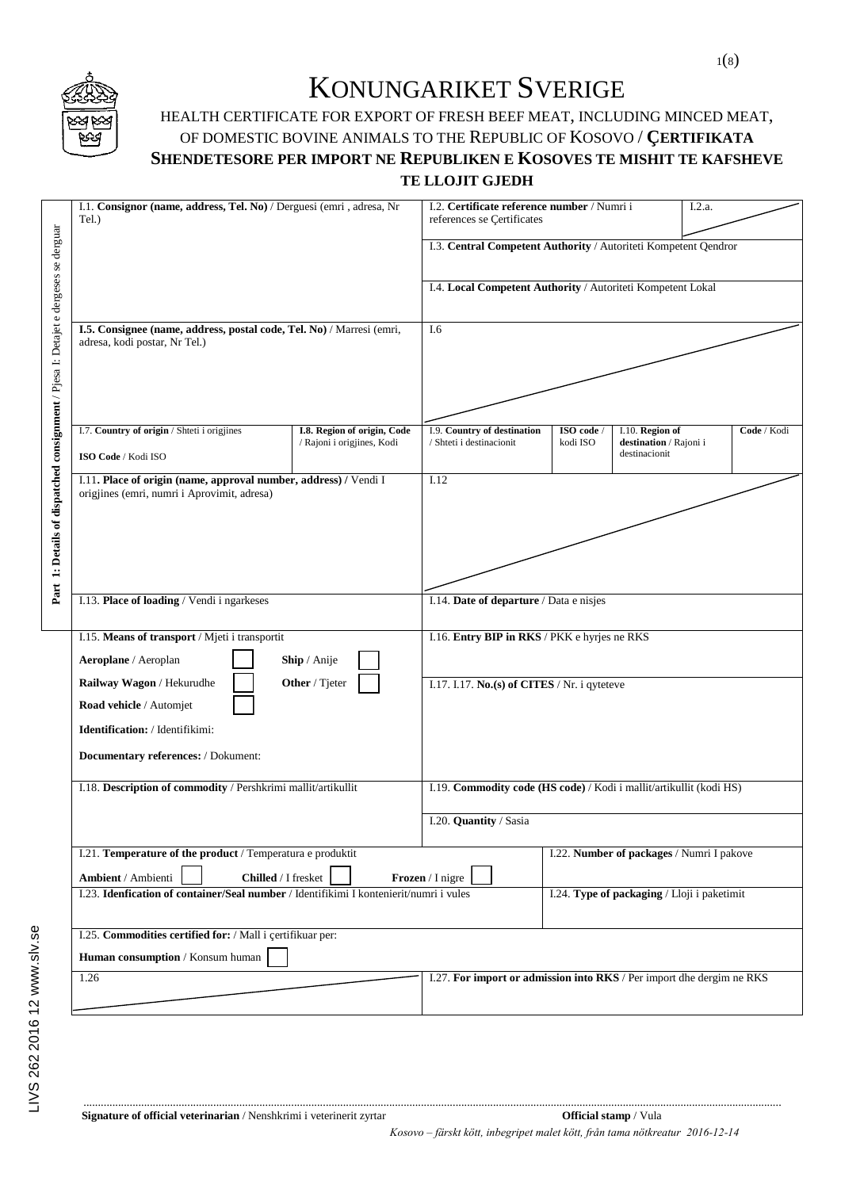

## KONUNGARIKET SVERIGE

## HEALTH CERTIFICATE FOR EXPORT OF FRESH BEEF MEAT, INCLUDING MINCED MEAT, OF DOMESTIC BOVINE ANIMALS TO THE REPUBLIC OF KOSOVO / **ÇERTIFIKATA SHENDETESORE PER IMPORT NE REPUBLIKEN E KOSOVES TE MISHIT TE KAFSHEVE TE LLOJIT GJEDH**

|                                                                                    | I.1. Consignor (name, address, Tel. No) / Derguesi (emri, adresa, Nr<br>Tel.)                                                                           |                                                                                                       | I.2. Certificate reference number / Numri i<br>references se Certificates |                      |                                                            | I.2.a. |             |  |
|------------------------------------------------------------------------------------|---------------------------------------------------------------------------------------------------------------------------------------------------------|-------------------------------------------------------------------------------------------------------|---------------------------------------------------------------------------|----------------------|------------------------------------------------------------|--------|-------------|--|
|                                                                                    |                                                                                                                                                         |                                                                                                       | I.3. Central Competent Authority / Autoriteti Kompetent Qendror           |                      |                                                            |        |             |  |
|                                                                                    |                                                                                                                                                         |                                                                                                       | I.4. Local Competent Authority / Autoriteti Kompetent Lokal               |                      |                                                            |        |             |  |
|                                                                                    | I.5. Consignee (name, address, postal code, Tel. No) / Marresi (emri,<br>adresa, kodi postar, Nr Tel.)                                                  |                                                                                                       | I.6                                                                       |                      |                                                            |        |             |  |
|                                                                                    | I.7. Country of origin / Shteti i origjines<br>ISO Code / Kodi ISO                                                                                      | I.8. Region of origin, Code<br>/ Rajoni i origjines, Kodi                                             | I.9. Country of destination<br>/ Shteti i destinacionit                   | ISO code<br>kodi ISO | I.10. Region of<br>destination / Rajoni i<br>destinacionit |        | Code / Kodi |  |
| Part 1: Details of dispatched consignment / Pjesa I: Detajet e dergeses se derguar | I.11. Place of origin (name, approval number, address) / Vendi I<br>origjines (emri, numri i Aprovimit, adresa)                                         |                                                                                                       | I.12                                                                      |                      |                                                            |        |             |  |
|                                                                                    | I.13. Place of loading / Vendi i ngarkeses                                                                                                              |                                                                                                       | I.14. Date of departure / Data e nisjes                                   |                      |                                                            |        |             |  |
|                                                                                    | I.15. Means of transport / Mjeti i transportit<br>Aeroplane / Aeroplan                                                                                  | Ship / Anije                                                                                          |                                                                           |                      | I.16. Entry BIP in RKS / PKK e hyrjes ne RKS               |        |             |  |
|                                                                                    | Other / Tjeter<br>Railway Wagon / Hekurudhe<br>Road vehicle / Automjet<br><b>Identification:</b> / Identifikimi:<br>Documentary references: / Dokument: |                                                                                                       | I.17. I.17. No.(s) of CITES / Nr. i qyteteve                              |                      |                                                            |        |             |  |
|                                                                                    | I.18. Description of commodity / Pershkrimi mallit/artikullit                                                                                           |                                                                                                       | I.19. Commodity code (HS code) / Kodi i mallit/artikullit (kodi HS)       |                      |                                                            |        |             |  |
|                                                                                    |                                                                                                                                                         |                                                                                                       | I.20. Quantity / Sasia                                                    |                      |                                                            |        |             |  |
|                                                                                    | Ambient / Ambienti                                                                                                                                      | I.21. Temperature of the product / Temperatura e produktit<br>Chilled / I fresket<br>Frozen / I nigre |                                                                           |                      | I.22. Number of packages / Numri I pakove                  |        |             |  |
|                                                                                    | I.23. Idenfication of container/Seal number / Identifikimi I kontenierit/numri i vules                                                                  |                                                                                                       |                                                                           |                      | I.24. Type of packaging / Lloji i paketimit                |        |             |  |
|                                                                                    | I.25. Commodities certified for: / Mall i certifikuar per:<br>Human consumption / Konsum human                                                          |                                                                                                       |                                                                           |                      |                                                            |        |             |  |
|                                                                                    | 1.26                                                                                                                                                    | I.27. For import or admission into RKS / Per import dhe dergim ne RKS                                 |                                                                           |                      |                                                            |        |             |  |

..................................................................................................................................................................................................................................................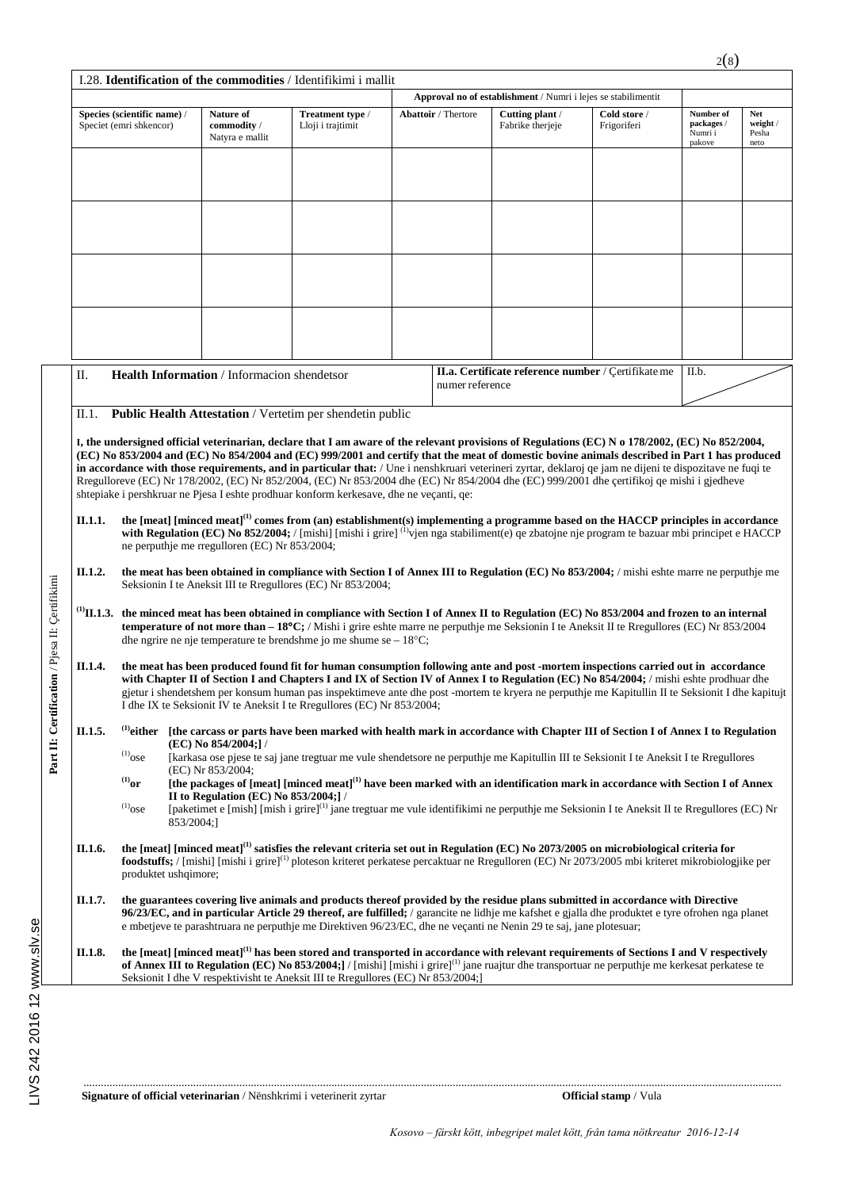|         |                                                                                                                                                                                                                                                                                                                                                                                                                                                                                                                                                                                                  |                                                     |                                                           |                                                                                                                                                                                                                                                                                                                                                                                                          | Approval no of establishment / Numri i lejes se stabilimentit |                                                     |                                              |                                         |  |  |
|---------|--------------------------------------------------------------------------------------------------------------------------------------------------------------------------------------------------------------------------------------------------------------------------------------------------------------------------------------------------------------------------------------------------------------------------------------------------------------------------------------------------------------------------------------------------------------------------------------------------|-----------------------------------------------------|-----------------------------------------------------------|----------------------------------------------------------------------------------------------------------------------------------------------------------------------------------------------------------------------------------------------------------------------------------------------------------------------------------------------------------------------------------------------------------|---------------------------------------------------------------|-----------------------------------------------------|----------------------------------------------|-----------------------------------------|--|--|
|         | Species (scientific name) /<br>Speciet (emri shkencor)                                                                                                                                                                                                                                                                                                                                                                                                                                                                                                                                           | Nature of<br>commodity /<br>Natyra e mallit         | Treatment type /<br>Lloji i trajtimit                     | <b>Abattoir</b> / Thertore                                                                                                                                                                                                                                                                                                                                                                               | Cutting plant /<br>Fabrike therjeje                           | Cold store /<br>Frigoriferi                         | Number of<br>packages /<br>Numri i<br>pakove | <b>Net</b><br>weight /<br>Pesha<br>neto |  |  |
|         |                                                                                                                                                                                                                                                                                                                                                                                                                                                                                                                                                                                                  |                                                     |                                                           |                                                                                                                                                                                                                                                                                                                                                                                                          |                                                               |                                                     |                                              |                                         |  |  |
|         |                                                                                                                                                                                                                                                                                                                                                                                                                                                                                                                                                                                                  |                                                     |                                                           |                                                                                                                                                                                                                                                                                                                                                                                                          |                                                               |                                                     |                                              |                                         |  |  |
|         |                                                                                                                                                                                                                                                                                                                                                                                                                                                                                                                                                                                                  |                                                     |                                                           |                                                                                                                                                                                                                                                                                                                                                                                                          |                                                               |                                                     |                                              |                                         |  |  |
| Π.      |                                                                                                                                                                                                                                                                                                                                                                                                                                                                                                                                                                                                  | Health Information / Informacion shendetsor         |                                                           |                                                                                                                                                                                                                                                                                                                                                                                                          |                                                               | II.a. Certificate reference number / Certifikate me | II.b.                                        |                                         |  |  |
|         |                                                                                                                                                                                                                                                                                                                                                                                                                                                                                                                                                                                                  |                                                     |                                                           | numer reference                                                                                                                                                                                                                                                                                                                                                                                          |                                                               |                                                     |                                              |                                         |  |  |
| II.1.   |                                                                                                                                                                                                                                                                                                                                                                                                                                                                                                                                                                                                  |                                                     | Public Health Attestation / Vertetim per shendetin public |                                                                                                                                                                                                                                                                                                                                                                                                          |                                                               |                                                     |                                              |                                         |  |  |
| II.1.1. | Rregulloreve (EC) Nr 178/2002, (EC) Nr 852/2004, (EC) Nr 853/2004 dhe (EC) Nr 854/2004 dhe (EC) 999/2001 dhe çertifikoj qe mishi i gjedheve<br>shtepiake i pershkruar ne Pjesa I eshte prodhuar konform kerkesave, dhe ne veçanti, qe:<br>the [meat] [minced meat] <sup>(1)</sup> comes from (an) establishment(s) implementing a programme based on the HACCP principles in accordance<br>with Regulation (EC) No 852/2004; / [mishi] [mishi i grire] $^{(1)}$ yien nga stabiliment(e) qe zbatojne nje program te bazuar mbi principet e HACCP<br>ne perputhje me rregulloren (EC) Nr 853/2004; |                                                     |                                                           |                                                                                                                                                                                                                                                                                                                                                                                                          |                                                               |                                                     |                                              |                                         |  |  |
| II.1.2. | the meat has been obtained in compliance with Section I of Annex III to Regulation (EC) No 853/2004; / mishi eshte marre ne perputhje me<br>Seksionin I te Aneksit III te Rregullores (EC) Nr 853/2004;                                                                                                                                                                                                                                                                                                                                                                                          |                                                     |                                                           |                                                                                                                                                                                                                                                                                                                                                                                                          |                                                               |                                                     |                                              |                                         |  |  |
|         | $^{(1)}$ II.1.3. the minced meat has been obtained in compliance with Section I of Annex II to Regulation (EC) No 853/2004 and frozen to an internal<br>temperature of not more than $-18^{\circ}\text{C}$ ; / Mishi i grire eshte marre ne perputhje me Seksionin I te Aneksit II te Rregullores (EC) Nr 853/2004<br>dhe ngrire ne nje temperature te brendshme jo me shume se $-18^{\circ}$ C;                                                                                                                                                                                                 |                                                     |                                                           |                                                                                                                                                                                                                                                                                                                                                                                                          |                                                               |                                                     |                                              |                                         |  |  |
| II.1.4. | the meat has been produced found fit for human consumption following ante and post -mortem inspections carried out in accordance<br>with Chapter II of Section I and Chapters I and IX of Section IV of Annex I to Regulation (EC) No 854/2004; / mishi eshte prodhuar dhe<br>gjetur i shendetshem per konsum human pas inspektimeve ante dhe post -mortem te kryera ne perputhje me Kapitullin II te Seksionit I dhe kapitujt<br>I dhe IX te Seksionit IV te Aneksit I te Rregullores (EC) Nr 853/2004;                                                                                         |                                                     |                                                           |                                                                                                                                                                                                                                                                                                                                                                                                          |                                                               |                                                     |                                              |                                         |  |  |
|         | <sup>(1)</sup> either [the carcass or parts have been marked with health mark in accordance with Chapter III of Section I of Annex I to Regulation<br>(EC) No 854/2004;]/<br>[karkasa ose pjese te saj jane tregtuar me vule shendetsore ne perputhje me Kapitullin III te Seksionit I te Aneksit I te Rregullores                                                                                                                                                                                                                                                                               |                                                     |                                                           |                                                                                                                                                                                                                                                                                                                                                                                                          |                                                               |                                                     |                                              |                                         |  |  |
| II.1.5. |                                                                                                                                                                                                                                                                                                                                                                                                                                                                                                                                                                                                  |                                                     |                                                           |                                                                                                                                                                                                                                                                                                                                                                                                          |                                                               |                                                     |                                              |                                         |  |  |
|         | $^{(1)}$ ose<br>${}^{(1)}$ or                                                                                                                                                                                                                                                                                                                                                                                                                                                                                                                                                                    | (EC) Nr 853/2004;                                   |                                                           | [the packages of [meat] [minced meat] <sup>(1)</sup> have been marked with an identification mark in accordance with Section I of Annex                                                                                                                                                                                                                                                                  |                                                               |                                                     |                                              |                                         |  |  |
|         | $^{(1)}$ ose<br>853/2004;]                                                                                                                                                                                                                                                                                                                                                                                                                                                                                                                                                                       | II to Regulation (EC) No $853/2004$ ; $\frac{1}{1}$ |                                                           | [paketimet e [mish] [mish i grire] <sup>(1)</sup> jane tregtuar me vule identifikimi ne perputhje me Seksionin I te Aneksit II te Rregullores (EC) Nr                                                                                                                                                                                                                                                    |                                                               |                                                     |                                              |                                         |  |  |
| II.1.6. | produktet ushqimore;                                                                                                                                                                                                                                                                                                                                                                                                                                                                                                                                                                             |                                                     |                                                           | the [meat] [minced meat] <sup>(1)</sup> satisfies the relevant criteria set out in Regulation (EC) No 2073/2005 on microbiological criteria for<br><b>foodstuffs;</b> / [mishi] [mishi i grire] <sup>(1)</sup> ploteson kriteret perkatese percaktuar ne Rregulloren (EC) Nr 2073/2005 mbi kriteret mikrobiologjike per                                                                                  |                                                               |                                                     |                                              |                                         |  |  |
| II.1.7. |                                                                                                                                                                                                                                                                                                                                                                                                                                                                                                                                                                                                  |                                                     |                                                           | the guarantees covering live animals and products thereof provided by the residue plans submitted in accordance with Directive<br>96/23/EC, and in particular Article 29 thereof, are fulfilled; / garancite ne lidhje me kafshet e gjalla dhe produktet e tyre ofrohen nga planet<br>e mbetjeve te parashtruara ne perputhje me Direktiven 96/23/EC, dhe ne veçanti ne Nenin 29 te saj, jane plotesuar; |                                                               |                                                     |                                              |                                         |  |  |

LIVS 242 2016 12 www.slv.se LIVS 242 2016 12 www.slv.se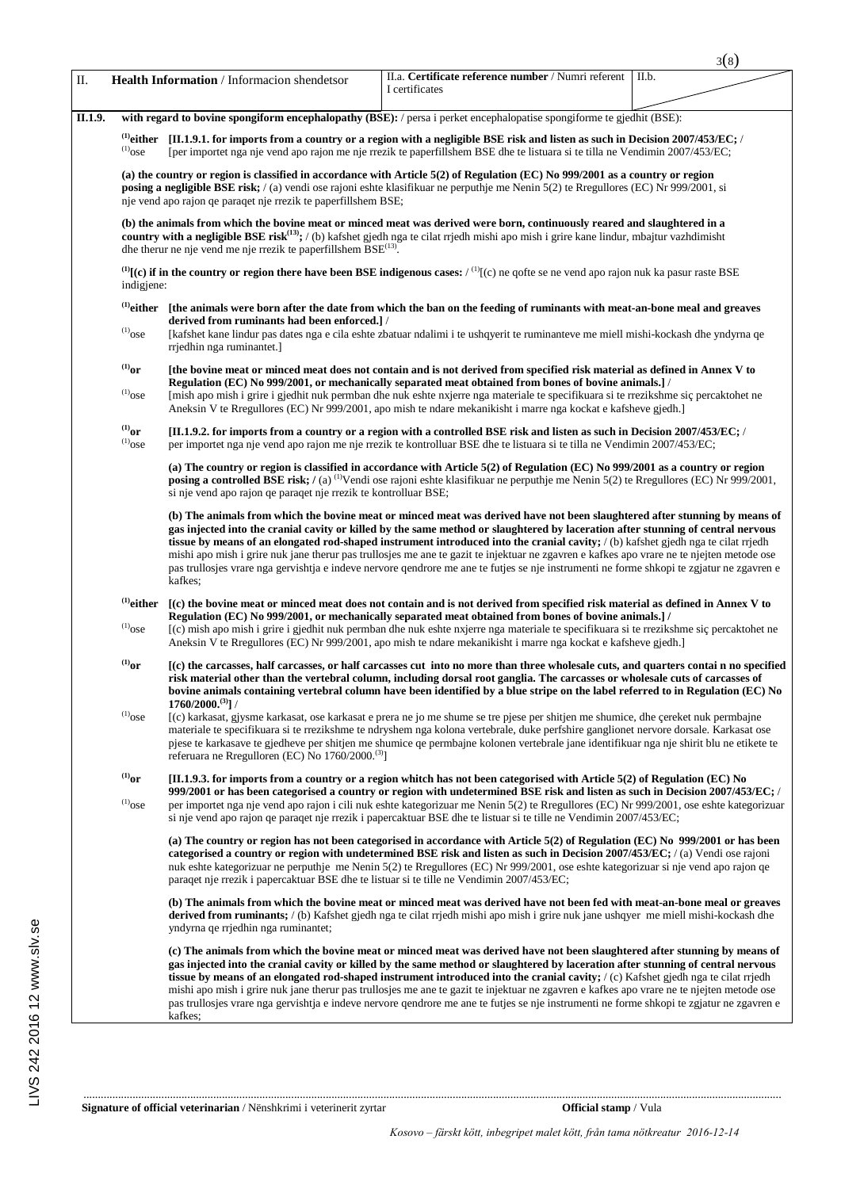|         |                                                                                                                                                                                                                                                                                                                                                           |                                                                                                                                                                                                                                                                                                                                                                            |                                                                                                                                                                                                                                                                                                                                                                                                                                                                                                                                                                                                                                                                                                           | 3(8)  |  |  |  |  |
|---------|-----------------------------------------------------------------------------------------------------------------------------------------------------------------------------------------------------------------------------------------------------------------------------------------------------------------------------------------------------------|----------------------------------------------------------------------------------------------------------------------------------------------------------------------------------------------------------------------------------------------------------------------------------------------------------------------------------------------------------------------------|-----------------------------------------------------------------------------------------------------------------------------------------------------------------------------------------------------------------------------------------------------------------------------------------------------------------------------------------------------------------------------------------------------------------------------------------------------------------------------------------------------------------------------------------------------------------------------------------------------------------------------------------------------------------------------------------------------------|-------|--|--|--|--|
| Π.      |                                                                                                                                                                                                                                                                                                                                                           | Health Information / Informacion shendetsor                                                                                                                                                                                                                                                                                                                                | II.a. Certificate reference number / Numri referent<br>I certificates                                                                                                                                                                                                                                                                                                                                                                                                                                                                                                                                                                                                                                     | II.b. |  |  |  |  |
| II.1.9. |                                                                                                                                                                                                                                                                                                                                                           |                                                                                                                                                                                                                                                                                                                                                                            | with regard to bovine spongiform encephalopathy (BSE): / persa i perket encephalopatise spongiforme te gjedhit (BSE):                                                                                                                                                                                                                                                                                                                                                                                                                                                                                                                                                                                     |       |  |  |  |  |
|         | $^{(1)}$ ose                                                                                                                                                                                                                                                                                                                                              | <sup>(1)</sup> either [II.1.9.1. for imports from a country or a region with a negligible BSE risk and listen as such in Decision 2007/453/EC; /<br>[per importet nga nje vend apo rajon me nje rrezik te paperfillshem BSE dhe te listuara si te tilla ne Vendimin 2007/453/EC;                                                                                           |                                                                                                                                                                                                                                                                                                                                                                                                                                                                                                                                                                                                                                                                                                           |       |  |  |  |  |
|         |                                                                                                                                                                                                                                                                                                                                                           | (a) the country or region is classified in accordance with Article 5(2) of Regulation (EC) No 999/2001 as a country or region<br>posing a negligible BSE risk; / (a) vendi ose rajoni eshte klasifikuar ne perputhje me Nenin 5(2) te Rregullores (EC) Nr 999/2001, si<br>nje vend apo rajon qe paraqet nje rrezik te paperfillshem BSE;                                   |                                                                                                                                                                                                                                                                                                                                                                                                                                                                                                                                                                                                                                                                                                           |       |  |  |  |  |
|         | (b) the animals from which the bovine meat or minced meat was derived were born, continuously reared and slaughtered in a<br>country with a negligible BSE risk <sup>(13)</sup> ; / (b) kafshet gjedh nga te cilat rijedh mishi apo mish i grire kane lindur, mbajtur vazhdimisht<br>dhe therur ne nje vend me nje rrezik te paperfillshem $BSE^{(13)}$ . |                                                                                                                                                                                                                                                                                                                                                                            |                                                                                                                                                                                                                                                                                                                                                                                                                                                                                                                                                                                                                                                                                                           |       |  |  |  |  |
|         | ${}^{(1)}$ [(c) if in the country or region there have been BSE indigenous cases: / ${}^{(1)}$ [(c) ne qofte se ne vend apo rajon nuk ka pasur raste BSE<br>indigjene:                                                                                                                                                                                    |                                                                                                                                                                                                                                                                                                                                                                            |                                                                                                                                                                                                                                                                                                                                                                                                                                                                                                                                                                                                                                                                                                           |       |  |  |  |  |
|         | $^{(1)}$ either<br>[the animals were born after the date from which the ban on the feeding of ruminants with meat-an-bone meal and greaves                                                                                                                                                                                                                |                                                                                                                                                                                                                                                                                                                                                                            |                                                                                                                                                                                                                                                                                                                                                                                                                                                                                                                                                                                                                                                                                                           |       |  |  |  |  |
|         | $^{(1)}$ ose                                                                                                                                                                                                                                                                                                                                              | derived from ruminants had been enforced.]/<br>[kafshet kane lindur pas dates nga e cila eshte zbatuar ndalimi i te ushqyerit te ruminanteve me miell mishi-kockash dhe yndyrna qe<br>rrjedhin nga ruminantet.                                                                                                                                                             |                                                                                                                                                                                                                                                                                                                                                                                                                                                                                                                                                                                                                                                                                                           |       |  |  |  |  |
|         | $^{(1)}$ or<br>$^{(1)}$ ose                                                                                                                                                                                                                                                                                                                               | [the bovine meat or minced meat does not contain and is not derived from specified risk material as defined in Annex V to<br>Regulation (EC) No 999/2001, or mechanically separated meat obtained from bones of bovine animals.] /<br>[mish apo mish i grire i gjedhit nuk permban dhe nuk eshte nxjerre nga materiale te specifikuara si te rrezikshme siç percaktohet ne |                                                                                                                                                                                                                                                                                                                                                                                                                                                                                                                                                                                                                                                                                                           |       |  |  |  |  |
|         |                                                                                                                                                                                                                                                                                                                                                           |                                                                                                                                                                                                                                                                                                                                                                            | Aneksin V te Rregullores (EC) Nr 999/2001, apo mish te ndare mekanikisht i marre nga kockat e kafsheve gjedh.]                                                                                                                                                                                                                                                                                                                                                                                                                                                                                                                                                                                            |       |  |  |  |  |
|         | $^{(1)}$ or<br>$^{(1)}$ ose                                                                                                                                                                                                                                                                                                                               |                                                                                                                                                                                                                                                                                                                                                                            | [II.1.9.2. for imports from a country or a region with a controlled BSE risk and listen as such in Decision 2007/453/EC; /<br>per importet nga nje vend apo rajon me nje rrezik te kontrolluar BSE dhe te listuara si te tilla ne Vendimin 2007/453/EC;                                                                                                                                                                                                                                                                                                                                                                                                                                                   |       |  |  |  |  |
|         |                                                                                                                                                                                                                                                                                                                                                           | si nje vend apo rajon qe paraqet nje rrezik te kontrolluar BSE;                                                                                                                                                                                                                                                                                                            | (a) The country or region is classified in accordance with Article $5(2)$ of Regulation (EC) No 999/2001 as a country or region<br>posing a controlled BSE risk; / (a) <sup>(1)</sup> Vendi ose rajoni eshte klasifikuar ne perputhje me Nenin 5(2) te Rregullores (EC) Nr 999/2001,                                                                                                                                                                                                                                                                                                                                                                                                                      |       |  |  |  |  |
|         |                                                                                                                                                                                                                                                                                                                                                           | kafkes:                                                                                                                                                                                                                                                                                                                                                                    | (b) The animals from which the bovine meat or minced meat was derived have not been slaughtered after stunning by means of<br>gas injected into the cranial cavity or killed by the same method or slaughtered by laceration after stunning of central nervous<br>tissue by means of an elongated rod-shaped instrument introduced into the cranial cavity; $\ell$ (b) kafshet gjedh nga te cilat rriedh<br>mishi apo mish i grire nuk jane therur pas trullosjes me ane te gazit te injektuar ne zgavren e kafkes apo vrare ne te njejten metode ose<br>pas trullosjes vrare nga gervishtja e indeve nervore gendrore me ane te futjes se nje instrumenti ne forme shkopi te zgjatur ne zgavren e        |       |  |  |  |  |
|         | $^{(1)}$ either                                                                                                                                                                                                                                                                                                                                           | [(c) the bovine meat or minced meat does not contain and is not derived from specified risk material as defined in Annex V to                                                                                                                                                                                                                                              |                                                                                                                                                                                                                                                                                                                                                                                                                                                                                                                                                                                                                                                                                                           |       |  |  |  |  |
|         | $\rm ^{(1)}ose$                                                                                                                                                                                                                                                                                                                                           |                                                                                                                                                                                                                                                                                                                                                                            | Regulation (EC) No 999/2001, or mechanically separated meat obtained from bones of bovine animals.] /<br>[(c) mish apo mish i grire i gjedhit nuk permban dhe nuk eshte nxjerre nga materiale te specifikuara si te rrezikshme siç percaktohet ne<br>Aneksin V te Rregullores (EC) Nr 999/2001, apo mish te ndare mekanikisht i marre nga kockat e kafsheve gjedh.                                                                                                                                                                                                                                                                                                                                        |       |  |  |  |  |
|         | $^{(1)}$ or                                                                                                                                                                                                                                                                                                                                               | $1760/2000.^{(3)}$ ] /                                                                                                                                                                                                                                                                                                                                                     | (c) the carcasses, half carcasses, or half carcasses cut into no more than three wholesale cuts, and quarters contain no specified<br>risk material other than the vertebral column, including dorsal root ganglia. The carcasses or wholesale cuts of carcasses of<br>bovine animals containing vertebral column have been identified by a blue stripe on the label referred to in Regulation (EC) No                                                                                                                                                                                                                                                                                                    |       |  |  |  |  |
|         | $\rm ^{(1)}ose$                                                                                                                                                                                                                                                                                                                                           | referuara ne Rregulloren (EC) No $1760/2000$ . <sup>(3)</sup> ]                                                                                                                                                                                                                                                                                                            | (c) karkasat, gjysme karkasat, ose karkasat e prera ne jo me shume se tre pjese per shitjen me shumice, dhe çereket nuk permbajne<br>materiale te specifikuara si te rrezikshme te ndryshem nga kolona vertebrale, duke perfshire ganglionet nervore dorsale. Karkasat ose<br>pjese te karkasave te gjedheve per shitjen me shumice qe permbajne kolonen vertebrale jane identifikuar nga nje shirit blu ne etikete te                                                                                                                                                                                                                                                                                    |       |  |  |  |  |
|         | $^{\textrm{\tiny{(1)}}}$ or                                                                                                                                                                                                                                                                                                                               |                                                                                                                                                                                                                                                                                                                                                                            | [II.1.9.3. for imports from a country or a region whitch has not been categorised with Article $5(2)$ of Regulation (EC) No                                                                                                                                                                                                                                                                                                                                                                                                                                                                                                                                                                               |       |  |  |  |  |
|         | $\rm ^{(1)}ose$                                                                                                                                                                                                                                                                                                                                           |                                                                                                                                                                                                                                                                                                                                                                            | 999/2001 or has been categorised a country or region with undetermined BSE risk and listen as such in Decision 2007/453/EC; /<br>per importet nga nje vend apo rajon i cili nuk eshte kategorizuar me Nenin 5(2) te Rregullores (EC) Nr 999/2001, ose eshte kategorizuar<br>si nje vend apo rajon qe paraqet nje rrezik i papercaktuar BSE dhe te listuar si te tille ne Vendimin 2007/453/EC;                                                                                                                                                                                                                                                                                                            |       |  |  |  |  |
|         |                                                                                                                                                                                                                                                                                                                                                           | paraqet nje rrezik i papercaktuar BSE dhe te listuar si te tille ne Vendimin 2007/453/EC;                                                                                                                                                                                                                                                                                  | (a) The country or region has not been categorised in accordance with Article 5(2) of Regulation (EC) No 999/2001 or has been<br>categorised a country or region with undetermined BSE risk and listen as such in Decision 2007/453/EC; /(a) Vendi ose rajoni<br>nuk eshte kategorizuar ne perputhje me Nenin 5(2) te Rregullores (EC) Nr 999/2001, ose eshte kategorizuar si nje vend apo rajon qe                                                                                                                                                                                                                                                                                                       |       |  |  |  |  |
|         |                                                                                                                                                                                                                                                                                                                                                           | yndyrna qe rrjedhin nga ruminantet;                                                                                                                                                                                                                                                                                                                                        | (b) The animals from which the bovine meat or minced meat was derived have not been fed with meat-an-bone meal or greaves<br>derived from ruminants; / (b) Kafshet gjedh nga te cilat rrjedh mishi apo mish i grire nuk jane ushqyer me miell mishi-kockash dhe                                                                                                                                                                                                                                                                                                                                                                                                                                           |       |  |  |  |  |
|         |                                                                                                                                                                                                                                                                                                                                                           | kafkes:                                                                                                                                                                                                                                                                                                                                                                    | (c) The animals from which the bovine meat or minced meat was derived have not been slaughtered after stunning by means of<br>gas injected into the cranial cavity or killed by the same method or slaughtered by laceration after stunning of central nervous<br><b>tissue by means of an elongated rod-shaped instrument introduced into the cranial cavity;</b> $\ell$ (c) Kafshet gjedh nga te cilat rrjedh<br>mishi apo mish i grire nuk jane therur pas trullosjes me ane te gazit te injektuar ne zgavren e kafkes apo vrare ne te njejten metode ose<br>pas trullosjes vrare nga gervishtja e indeve nervore qendrore me ane te futjes se nje instrumenti ne forme shkopi te zgjatur ne zgavren e |       |  |  |  |  |

..................................................................................................................................................................................................................................................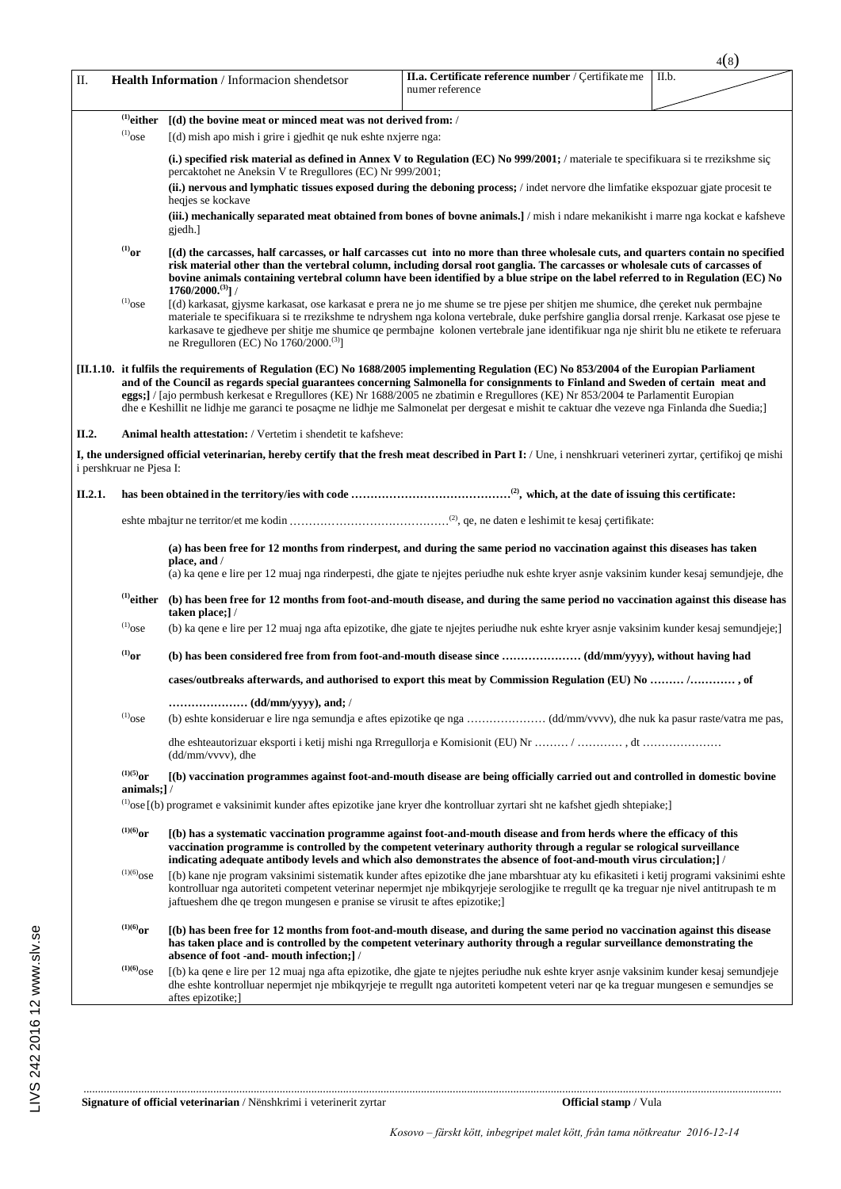|         |                                                                                                                                                                                                                                                                                                          |                                                                                                                                       |                                                                                                                                                                                                                                                                                                                                                                                                                                                                                                                                                                      | 4(8)  |
|---------|----------------------------------------------------------------------------------------------------------------------------------------------------------------------------------------------------------------------------------------------------------------------------------------------------------|---------------------------------------------------------------------------------------------------------------------------------------|----------------------------------------------------------------------------------------------------------------------------------------------------------------------------------------------------------------------------------------------------------------------------------------------------------------------------------------------------------------------------------------------------------------------------------------------------------------------------------------------------------------------------------------------------------------------|-------|
| П.      |                                                                                                                                                                                                                                                                                                          | Health Information / Informacion shendetsor                                                                                           | II.a. Certificate reference number / Çertifikate me<br>numer reference                                                                                                                                                                                                                                                                                                                                                                                                                                                                                               | II.b. |
|         | $^{(1)}$ either<br>$^{(1)}$ ose                                                                                                                                                                                                                                                                          | $\lceil$ (d) the bovine meat or minced meat was not derived from: /<br>[(d) mish apo mish i grire i gjedhit qe nuk eshte nxjerre nga: |                                                                                                                                                                                                                                                                                                                                                                                                                                                                                                                                                                      |       |
|         |                                                                                                                                                                                                                                                                                                          | percaktohet ne Aneksin V te Rregullores (EC) Nr 999/2001;                                                                             | (i.) specified risk material as defined in Annex V to Regulation $(EC)$ No 999/2001; / materiale te specifikuara si te rrezikshme sig                                                                                                                                                                                                                                                                                                                                                                                                                                |       |
|         | (ii.) nervous and lymphatic tissues exposed during the deboning process; / indet nervore dhe limfatike ekspozuar giate procesit te<br>heqjes se kockave<br>(iii.) mechanically separated meat obtained from bones of bovne animals.] / mish i ndare mekanikisht i marre nga kockat e kafsheve<br>gjedh.] |                                                                                                                                       |                                                                                                                                                                                                                                                                                                                                                                                                                                                                                                                                                                      |       |
|         | $^{(1)}$ or                                                                                                                                                                                                                                                                                              | $1760/2000.^{(3)}$ ] /                                                                                                                | [(d) the carcasses, half carcasses, or half carcasses cut into no more than three wholesale cuts, and quarters contain no specified<br>risk material other than the vertebral column, including dorsal root ganglia. The carcasses or wholesale cuts of carcasses of<br>bovine animals containing vertebral column have been identified by a blue stripe on the label referred to in Regulation (EC) No                                                                                                                                                              |       |
|         | $^{(1)}$ ose                                                                                                                                                                                                                                                                                             | ne Rregulloren (EC) No 1760/2000. <sup>(3)</sup> ]                                                                                    | [(d) karkasat, gjysme karkasat, ose karkasat e prera ne jo me shume se tre pjese per shitjen me shumice, dhe çereket nuk permbajne<br>materiale te specifikuara si te rrezikshme te ndryshem nga kolona vertebrale, duke perfshire ganglia dorsal rrenje. Karkasat ose pjese te<br>karkasave te gjedheve per shitje me shumice qe permbajne kolonen vertebrale jane identifikuar nga nje shirit blu ne etikete te referuara                                                                                                                                          |       |
|         |                                                                                                                                                                                                                                                                                                          |                                                                                                                                       | [II.1.10. it fulfils the requirements of Regulation (EC) No 1688/2005 implementing Regulation (EC) No 853/2004 of the Europian Parliament<br>and of the Council as regards special guarantees concerning Salmonella for consignments to Finland and Sweden of certain meat and<br>eggs;] / [ajo permbush kerkesat e Rregullores (KE) Nr 1688/2005 ne zbatimin e Rregullores (KE) Nr 853/2004 te Parlamentit Europian<br>dhe e Keshillit ne lidhje me garanci te posaçme ne lidhje me Salmonelat per dergesat e mishit te caktuar dhe vezeve nga Finlanda dhe Suedia; |       |
| II.2.   |                                                                                                                                                                                                                                                                                                          | <b>Animal health attestation:</b> / Vertetim i shendetit te kafsheve:                                                                 |                                                                                                                                                                                                                                                                                                                                                                                                                                                                                                                                                                      |       |
|         | i pershkruar ne Pjesa I:                                                                                                                                                                                                                                                                                 |                                                                                                                                       | I, the undersigned official veterinarian, hereby certify that the fresh meat described in Part I: / Une, i nenshkruari veterineri zyrtar, certifikoj qe mishi                                                                                                                                                                                                                                                                                                                                                                                                        |       |
| II.2.1. |                                                                                                                                                                                                                                                                                                          |                                                                                                                                       |                                                                                                                                                                                                                                                                                                                                                                                                                                                                                                                                                                      |       |
|         |                                                                                                                                                                                                                                                                                                          |                                                                                                                                       |                                                                                                                                                                                                                                                                                                                                                                                                                                                                                                                                                                      |       |
|         |                                                                                                                                                                                                                                                                                                          | place, and /                                                                                                                          | (a) has been free for 12 months from rinderpest, and during the same period no vaccination against this diseases has taken<br>(a) ka qene e lire per 12 muaj nga rinderpesti, dhe gjate te njejtes periudhe nuk eshte kryer asnje vaksinim kunder kesaj semundjeje, dhe                                                                                                                                                                                                                                                                                              |       |
|         |                                                                                                                                                                                                                                                                                                          | taken place;] /                                                                                                                       | <sup>(1)</sup> either (b) has been free for 12 months from foot-and-mouth disease, and during the same period no vaccination against this disease has                                                                                                                                                                                                                                                                                                                                                                                                                |       |
|         | $^{(1)}$ ose                                                                                                                                                                                                                                                                                             |                                                                                                                                       | (b) ka qene e lire per 12 muaj nga afta epizotike, dhe gjate te njejtes periudhe nuk eshte kryer asnje vaksinim kunder kesaj semundjeje;                                                                                                                                                                                                                                                                                                                                                                                                                             |       |
|         | $^{(1)}$ or                                                                                                                                                                                                                                                                                              |                                                                                                                                       |                                                                                                                                                                                                                                                                                                                                                                                                                                                                                                                                                                      |       |
|         |                                                                                                                                                                                                                                                                                                          |                                                                                                                                       | cases/outbreaks afterwards, and authorised to export this meat by Commission Regulation (EU) No  /, of                                                                                                                                                                                                                                                                                                                                                                                                                                                               |       |
|         | $^{(1)}$ ose                                                                                                                                                                                                                                                                                             |                                                                                                                                       |                                                                                                                                                                                                                                                                                                                                                                                                                                                                                                                                                                      |       |
|         |                                                                                                                                                                                                                                                                                                          | (dd/mm/vvvv), dhe                                                                                                                     |                                                                                                                                                                                                                                                                                                                                                                                                                                                                                                                                                                      |       |
|         | $^{(1)(5)}$ or<br>animals; $\rangle$                                                                                                                                                                                                                                                                     |                                                                                                                                       | (b) vaccination programmes against foot-and-mouth disease are being officially carried out and controlled in domestic bovine                                                                                                                                                                                                                                                                                                                                                                                                                                         |       |
|         |                                                                                                                                                                                                                                                                                                          |                                                                                                                                       | $^{(1)}$ ose [(b) programet e vaksinimit kunder aftes epizotike jane kryer dhe kontrolluar zyrtari sht ne kafshet gjedh shtepiake;]                                                                                                                                                                                                                                                                                                                                                                                                                                  |       |
|         | $^{(1)(6)}$ or                                                                                                                                                                                                                                                                                           |                                                                                                                                       | (b) has a systematic vaccination programme against foot-and-mouth disease and from herds where the efficacy of this<br>vaccination programme is controlled by the competent veterinary authority through a regular se rological surveillance<br>indicating adequate antibody levels and which also demonstrates the absence of foot-and-mouth virus circulation;]/                                                                                                                                                                                                   |       |
|         | $(1)(6)$ ose                                                                                                                                                                                                                                                                                             | jaftueshem dhe qe tregon mungesen e pranise se virusit te aftes epizotike;                                                            | [(b) kane nje program vaksinimi sistematik kunder aftes epizotike dhe jane mbarshtuar aty ku efikasiteti i ketij programi vaksinimi eshte<br>kontrolluar nga autoriteti competent veterinar nepermjet nje mbikqyrjeje serologjike te rregullt qe ka treguar nje nivel antitrupash te m                                                                                                                                                                                                                                                                               |       |
|         | $^{(1)(6)}$ or                                                                                                                                                                                                                                                                                           | absence of foot -and- mouth infection;] /                                                                                             | (b) has been free for 12 months from foot-and-mouth disease, and during the same period no vaccination against this disease<br>has taken place and is controlled by the competent veterinary authority through a regular surveillance demonstrating the                                                                                                                                                                                                                                                                                                              |       |
|         | $^{(1)(6)}$ ose                                                                                                                                                                                                                                                                                          | aftes epizotike;]                                                                                                                     | [(b) ka qene e lire per 12 muaj nga afta epizotike, dhe gjate te njejtes periudhe nuk eshte kryer asnje vaksinim kunder kesaj semundjeje<br>dhe eshte kontrolluar nepermjet nje mbikqyrjeje te rregullt nga autoriteti kompetent veteri nar qe ka treguar mungesen e semundjes se                                                                                                                                                                                                                                                                                    |       |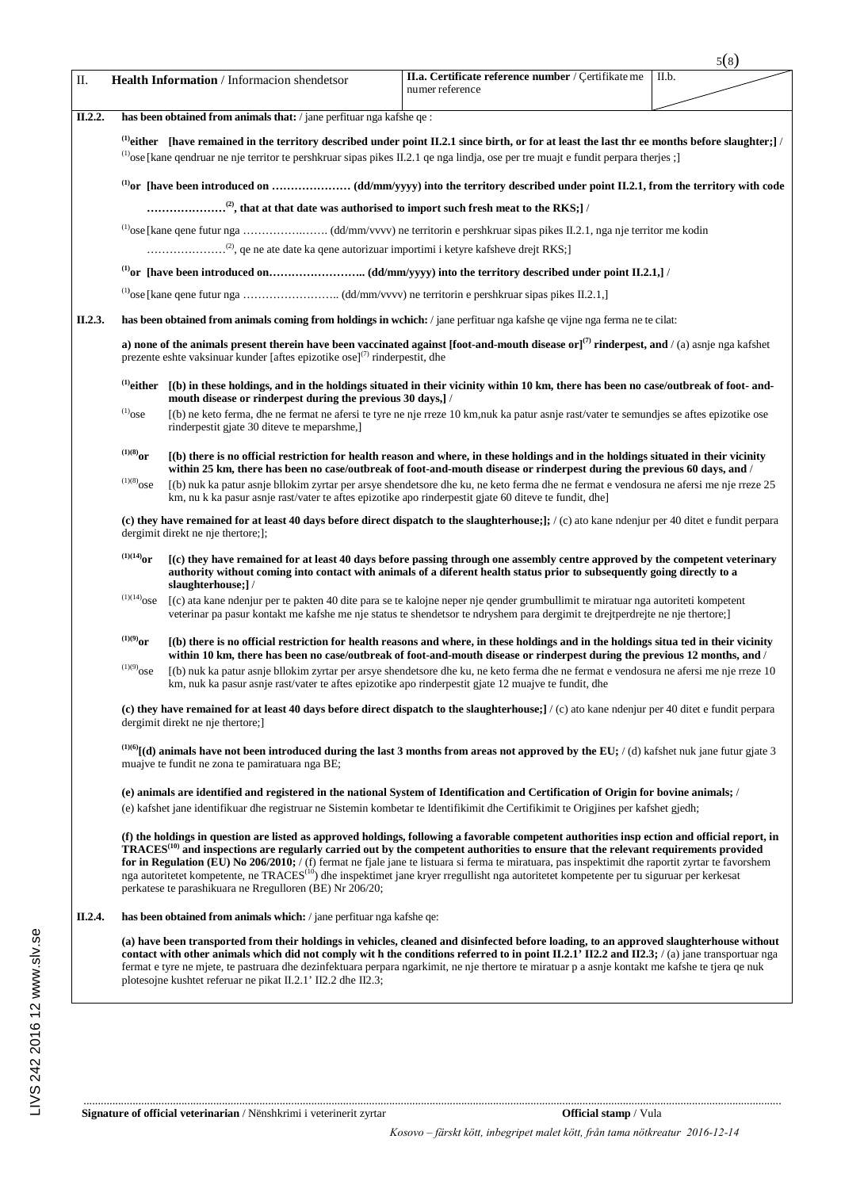|         |                                                                                                                                                                                                                                                                                                   |                                                                                                                                                                                                                                                                                                                                                                                                                                                                                                                                                                                                                                                                            |                                                                                                                                                                                                                                                                                                                                                                                                                                                 | 5(8)  |  |  |  |
|---------|---------------------------------------------------------------------------------------------------------------------------------------------------------------------------------------------------------------------------------------------------------------------------------------------------|----------------------------------------------------------------------------------------------------------------------------------------------------------------------------------------------------------------------------------------------------------------------------------------------------------------------------------------------------------------------------------------------------------------------------------------------------------------------------------------------------------------------------------------------------------------------------------------------------------------------------------------------------------------------------|-------------------------------------------------------------------------------------------------------------------------------------------------------------------------------------------------------------------------------------------------------------------------------------------------------------------------------------------------------------------------------------------------------------------------------------------------|-------|--|--|--|
| Π.      |                                                                                                                                                                                                                                                                                                   | Health Information / Informacion shendetsor                                                                                                                                                                                                                                                                                                                                                                                                                                                                                                                                                                                                                                | II.a. Certificate reference number / Çertifikate me<br>numer reference                                                                                                                                                                                                                                                                                                                                                                          | II.b. |  |  |  |
| II.2.2. | has been obtained from animals that: / jane perfituar nga kafshe qe :                                                                                                                                                                                                                             |                                                                                                                                                                                                                                                                                                                                                                                                                                                                                                                                                                                                                                                                            |                                                                                                                                                                                                                                                                                                                                                                                                                                                 |       |  |  |  |
|         | <sup>(1)</sup> either [have remained in the territory described under point II.2.1 since birth, or for at least the last thr ee months before slaughter;] /<br>(1) ose [kane qendruar ne nje territor te pershkruar sipas pikes II.2.1 qe nga lindja, ose per tre muajt e fundit perpara therjes; |                                                                                                                                                                                                                                                                                                                                                                                                                                                                                                                                                                                                                                                                            |                                                                                                                                                                                                                                                                                                                                                                                                                                                 |       |  |  |  |
|         |                                                                                                                                                                                                                                                                                                   |                                                                                                                                                                                                                                                                                                                                                                                                                                                                                                                                                                                                                                                                            |                                                                                                                                                                                                                                                                                                                                                                                                                                                 |       |  |  |  |
|         |                                                                                                                                                                                                                                                                                                   |                                                                                                                                                                                                                                                                                                                                                                                                                                                                                                                                                                                                                                                                            |                                                                                                                                                                                                                                                                                                                                                                                                                                                 |       |  |  |  |
|         |                                                                                                                                                                                                                                                                                                   |                                                                                                                                                                                                                                                                                                                                                                                                                                                                                                                                                                                                                                                                            |                                                                                                                                                                                                                                                                                                                                                                                                                                                 |       |  |  |  |
|         |                                                                                                                                                                                                                                                                                                   |                                                                                                                                                                                                                                                                                                                                                                                                                                                                                                                                                                                                                                                                            |                                                                                                                                                                                                                                                                                                                                                                                                                                                 |       |  |  |  |
|         |                                                                                                                                                                                                                                                                                                   |                                                                                                                                                                                                                                                                                                                                                                                                                                                                                                                                                                                                                                                                            |                                                                                                                                                                                                                                                                                                                                                                                                                                                 |       |  |  |  |
|         |                                                                                                                                                                                                                                                                                                   |                                                                                                                                                                                                                                                                                                                                                                                                                                                                                                                                                                                                                                                                            |                                                                                                                                                                                                                                                                                                                                                                                                                                                 |       |  |  |  |
| II.2.3. |                                                                                                                                                                                                                                                                                                   |                                                                                                                                                                                                                                                                                                                                                                                                                                                                                                                                                                                                                                                                            | has been obtained from animals coming from holdings in wchich: / jane perfituar nga kafshe qe vijne nga ferma ne te cilat:                                                                                                                                                                                                                                                                                                                      |       |  |  |  |
|         |                                                                                                                                                                                                                                                                                                   | prezente eshte vaksinuar kunder [aftes epizotike ose] <sup>(7)</sup> rinderpestit, dhe                                                                                                                                                                                                                                                                                                                                                                                                                                                                                                                                                                                     | a) none of the animals present therein have been vaccinated against [foot-and-mouth disease or] <sup>(7)</sup> rinderpest, and /(a) asnje nga kafshet                                                                                                                                                                                                                                                                                           |       |  |  |  |
|         | $^{(1)}$ either                                                                                                                                                                                                                                                                                   | mouth disease or rinderpest during the previous 30 days,]/                                                                                                                                                                                                                                                                                                                                                                                                                                                                                                                                                                                                                 | [(b) in these holdings, and in the holdings situated in their vicinity within 10 km, there has been no case/outbreak of foot-and-                                                                                                                                                                                                                                                                                                               |       |  |  |  |
|         | $^{(1)}$ ose                                                                                                                                                                                                                                                                                      | rinderpestit gjate 30 diteve te meparshme,                                                                                                                                                                                                                                                                                                                                                                                                                                                                                                                                                                                                                                 | (b) ne keto ferma, dhe ne fermat ne afersi te tyre ne nje rreze 10 km, nuk ka patur asnje rast/vater te semundjes se aftes epizotike ose                                                                                                                                                                                                                                                                                                        |       |  |  |  |
|         | $^{(1)(8)}$ or                                                                                                                                                                                                                                                                                    |                                                                                                                                                                                                                                                                                                                                                                                                                                                                                                                                                                                                                                                                            | (b) there is no official restriction for health reason and where, in these holdings and in the holdings situated in their vicinity<br>within 25 km, there has been no case/outbreak of foot-and-mouth disease or rinderpest during the previous 60 days, and /                                                                                                                                                                                  |       |  |  |  |
|         |                                                                                                                                                                                                                                                                                                   | $^{(1)(8)}$ ose<br>(b) nuk ka patur asnje bllokim zyrtar per arsye shendetsore dhe ku, ne keto ferma dhe ne fermat e vendosura ne afersi me nje rreze 25<br>km, nu k ka pasur asnje rast/vater te aftes epizotike apo rinderpestit gjate 60 diteve te fundit, dhe                                                                                                                                                                                                                                                                                                                                                                                                          |                                                                                                                                                                                                                                                                                                                                                                                                                                                 |       |  |  |  |
|         | (c) they have remained for at least 40 days before direct dispatch to the slaughterhouse; : / (c) ato kane ndenjur per 40 ditet e fundit perpara<br>dergimit direkt ne nje thertore;];                                                                                                            |                                                                                                                                                                                                                                                                                                                                                                                                                                                                                                                                                                                                                                                                            |                                                                                                                                                                                                                                                                                                                                                                                                                                                 |       |  |  |  |
|         | $^{(1)(14)}$ or<br>[(c) they have remained for at least 40 days before passing through one assembly centre approved by the competent veterinary<br>authority without coming into contact with animals of a diferent health status prior to subsequently going directly to a<br>slaughterhouse;]/  |                                                                                                                                                                                                                                                                                                                                                                                                                                                                                                                                                                                                                                                                            |                                                                                                                                                                                                                                                                                                                                                                                                                                                 |       |  |  |  |
|         | $^{\left(1\right)\left(14\right)}\!{\rm OSe}$                                                                                                                                                                                                                                                     |                                                                                                                                                                                                                                                                                                                                                                                                                                                                                                                                                                                                                                                                            | (c) ata kane ndenjur per te pakten 40 dite para se te kalojne neper nje qender grumbullimit te miratuar nga autoriteti kompetent<br>veterinar pa pasur kontakt me kafshe me nje status te shendetsor te ndryshem para dergimit te drejtperdrejte ne nje thertore;                                                                                                                                                                               |       |  |  |  |
|         | $^{(1)(9)}$ or<br>$(1)(9)$ ose                                                                                                                                                                                                                                                                    | (b) there is no official restriction for health reasons and where, in these holdings and in the holdings situa ted in their vicinity<br>within 10 km, there has been no case/outbreak of foot-and-mouth disease or rinderpest during the previous 12 months, and /<br>(b) nuk ka patur asnje bllokim zyrtar per arsye shendetsore dhe ku, ne keto ferma dhe ne fermat e vendosura ne afersi me nje rreze 10                                                                                                                                                                                                                                                                |                                                                                                                                                                                                                                                                                                                                                                                                                                                 |       |  |  |  |
|         |                                                                                                                                                                                                                                                                                                   | km, nuk ka pasur asnje rast/vater te aftes epizotike apo rinderpestit gjate 12 muajve te fundit, dhe                                                                                                                                                                                                                                                                                                                                                                                                                                                                                                                                                                       |                                                                                                                                                                                                                                                                                                                                                                                                                                                 |       |  |  |  |
|         | (c) they have remained for at least 40 days before direct dispatch to the slaughterhouse; $/$ (c) ato kane ndenjur per 40 ditet e fundit perpara<br>dergimit direkt ne nje thertore;                                                                                                              |                                                                                                                                                                                                                                                                                                                                                                                                                                                                                                                                                                                                                                                                            |                                                                                                                                                                                                                                                                                                                                                                                                                                                 |       |  |  |  |
|         | $^{(1)(6)}$ [(d) animals have not been introduced during the last 3 months from areas not approved by the EU; /(d) kafshet nuk jane futur gjate 3<br>muajve te fundit ne zona te pamiratuara nga BE;                                                                                              |                                                                                                                                                                                                                                                                                                                                                                                                                                                                                                                                                                                                                                                                            |                                                                                                                                                                                                                                                                                                                                                                                                                                                 |       |  |  |  |
|         | (e) animals are identified and registered in the national System of Identification and Certification of Origin for bovine animals; /<br>(e) kafshet jane identifikuar dhe registruar ne Sistemin kombetar te Identifikimit dhe Certifikimit te Origjines per kafshet gjedh;                       |                                                                                                                                                                                                                                                                                                                                                                                                                                                                                                                                                                                                                                                                            |                                                                                                                                                                                                                                                                                                                                                                                                                                                 |       |  |  |  |
|         |                                                                                                                                                                                                                                                                                                   | (f) the holdings in question are listed as approved holdings, following a favorable competent authorities inspection and official report, in<br>TRACES <sup>(10)</sup> and inspections are regularly carried out by the competent authorities to ensure that the relevant requirements provided<br>for in Regulation (EU) No 206/2010; / (f) fermat ne fjale jane te listuara si ferma te miratuara, pas inspektimit dhe raportit zyrtar te favorshem<br>nga autoritetet kompetente, ne TRACES <sup>(10</sup> ) dhe inspektimet jane kryer rregullisht nga autoritetet kompetente per tu siguruar per kerkesat<br>perkatese te parashikuara ne Rregulloren (BE) Nr 206/20; |                                                                                                                                                                                                                                                                                                                                                                                                                                                 |       |  |  |  |
| II.2.4. |                                                                                                                                                                                                                                                                                                   | has been obtained from animals which: / jane perfituar nga kafshe qe:                                                                                                                                                                                                                                                                                                                                                                                                                                                                                                                                                                                                      |                                                                                                                                                                                                                                                                                                                                                                                                                                                 |       |  |  |  |
|         |                                                                                                                                                                                                                                                                                                   | plotesojne kushtet referuar ne pikat II.2.1' II2.2 dhe II2.3;                                                                                                                                                                                                                                                                                                                                                                                                                                                                                                                                                                                                              | (a) have been transported from their holdings in vehicles, cleaned and disinfected before loading, to an approved slaughterhouse without<br>contact with other animals which did not comply with the conditions referred to in point $II.2.1'$ II2.2 and II2.3; /(a) jane transportuar nga<br>fermat e tyre ne mjete, te pastruara dhe dezinfektuara perpara ngarkimit, ne nje thertore te miratuar p a asnje kontakt me kafshe te tjera qe nuk |       |  |  |  |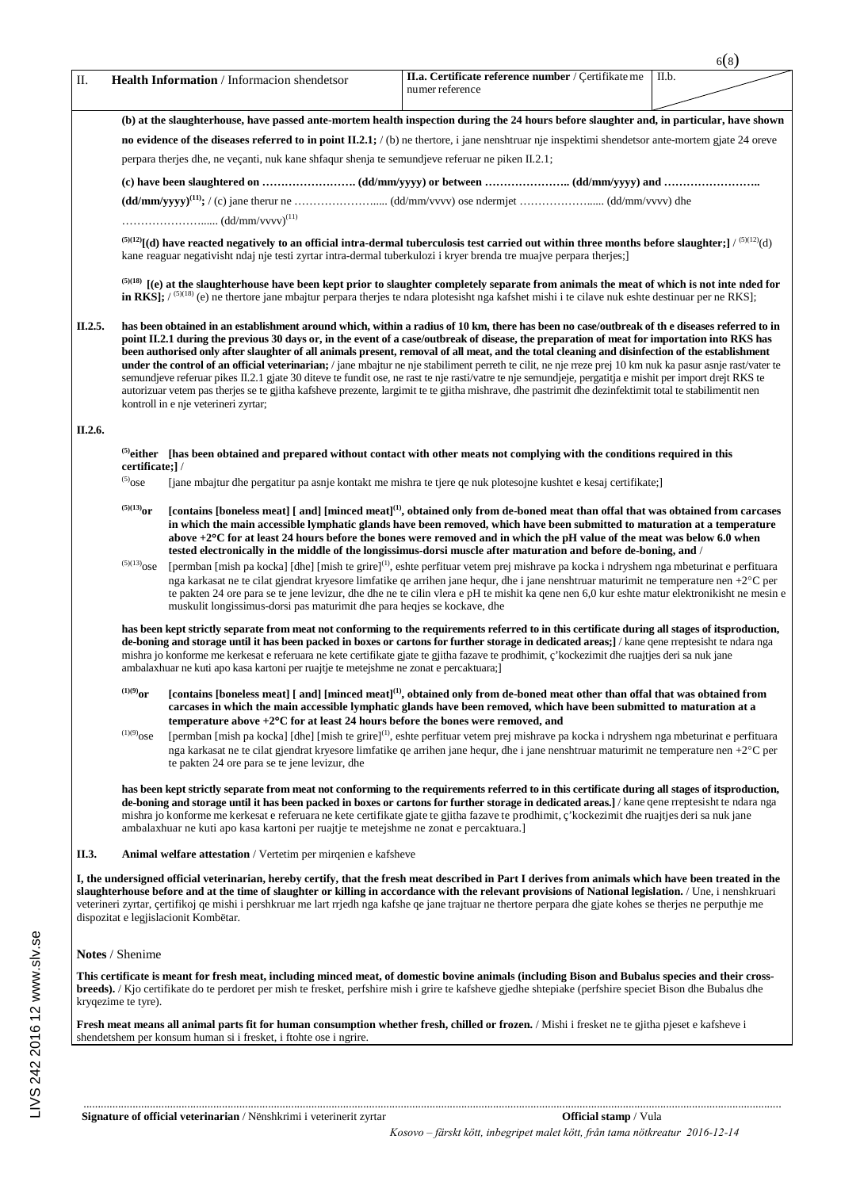| П.      |                                                                                                                                                                                                                                                                                                                                                                                                                                                                                                                                                                                                                                                                                                                                                                                                                                                                                                                                                                                | Health Information / Informacion shendetsor                                                                                                     | II.a. Certificate reference number / Çertifikate me<br>numer reference                                                                                                                                                                                                                                                                                                                                                                                 | II.b. |  |  |  |
|---------|--------------------------------------------------------------------------------------------------------------------------------------------------------------------------------------------------------------------------------------------------------------------------------------------------------------------------------------------------------------------------------------------------------------------------------------------------------------------------------------------------------------------------------------------------------------------------------------------------------------------------------------------------------------------------------------------------------------------------------------------------------------------------------------------------------------------------------------------------------------------------------------------------------------------------------------------------------------------------------|-------------------------------------------------------------------------------------------------------------------------------------------------|--------------------------------------------------------------------------------------------------------------------------------------------------------------------------------------------------------------------------------------------------------------------------------------------------------------------------------------------------------------------------------------------------------------------------------------------------------|-------|--|--|--|
|         | (b) at the slaughterhouse, have passed ante-mortem health inspection during the 24 hours before slaughter and, in particular, have shown                                                                                                                                                                                                                                                                                                                                                                                                                                                                                                                                                                                                                                                                                                                                                                                                                                       |                                                                                                                                                 |                                                                                                                                                                                                                                                                                                                                                                                                                                                        |       |  |  |  |
|         | no evidence of the diseases referred to in point $II.2.1$ ; (b) ne thertore, i jane nenshtruar nje inspektimi shendets or ante-mortem giate 24 oray                                                                                                                                                                                                                                                                                                                                                                                                                                                                                                                                                                                                                                                                                                                                                                                                                            |                                                                                                                                                 |                                                                                                                                                                                                                                                                                                                                                                                                                                                        |       |  |  |  |
|         |                                                                                                                                                                                                                                                                                                                                                                                                                                                                                                                                                                                                                                                                                                                                                                                                                                                                                                                                                                                | perpara there is dhe, ne vecanti, nuk kane shfaqur shenja te semundjeve referuar ne piken II.2.1;                                               |                                                                                                                                                                                                                                                                                                                                                                                                                                                        |       |  |  |  |
|         |                                                                                                                                                                                                                                                                                                                                                                                                                                                                                                                                                                                                                                                                                                                                                                                                                                                                                                                                                                                |                                                                                                                                                 |                                                                                                                                                                                                                                                                                                                                                                                                                                                        |       |  |  |  |
|         |                                                                                                                                                                                                                                                                                                                                                                                                                                                                                                                                                                                                                                                                                                                                                                                                                                                                                                                                                                                |                                                                                                                                                 |                                                                                                                                                                                                                                                                                                                                                                                                                                                        |       |  |  |  |
|         |                                                                                                                                                                                                                                                                                                                                                                                                                                                                                                                                                                                                                                                                                                                                                                                                                                                                                                                                                                                |                                                                                                                                                 |                                                                                                                                                                                                                                                                                                                                                                                                                                                        |       |  |  |  |
|         |                                                                                                                                                                                                                                                                                                                                                                                                                                                                                                                                                                                                                                                                                                                                                                                                                                                                                                                                                                                | kane reaguar negativisht ndaj nje testi zyrtar intra-dermal tuberkulozi i kryer brenda tre muajve perpara therjes;                              | <sup>(5)(12)</sup> [(d) have reacted negatively to an official intra-dermal tuberculosis test carried out within three months before slaughter;] / <sup>(5)(12</sup> )(d)                                                                                                                                                                                                                                                                              |       |  |  |  |
|         |                                                                                                                                                                                                                                                                                                                                                                                                                                                                                                                                                                                                                                                                                                                                                                                                                                                                                                                                                                                |                                                                                                                                                 | $^{(5)(18)}$ [(e) at the slaughterhouse have been kept prior to slaughter completely separate from animals the meat of which is not inte nded for<br>in RKS]; $/$ <sup>(5)(18)</sup> (e) ne thertore jane mbajtur perpara therjes te ndara plotesisht nga kafshet mishi i te cilave nuk eshte destinuar per ne RKS];                                                                                                                                   |       |  |  |  |
| II.2.5. | has been obtained in an establishment around which, within a radius of 10 km, there has been no case/outbreak of the diseases referred to in<br>point II.2.1 during the previous 30 days or, in the event of a case/outbreak of disease, the preparation of meat for importation into RKS has<br>been authorised only after slaughter of all animals present, removal of all meat, and the total cleaning and disinfection of the establishment<br>under the control of an official veterinarian; / jane mbajtur ne nje stabiliment perreth te cilit, ne nje rreze prej 10 km nuk ka pasur asnje rast/vater te<br>semundjeve referuar pikes II.2.1 gjate 30 diteve te fundit ose, ne rast te nje rasti/vatre te nje semundjeje, pergatitja e mishit per import drejt RKS te<br>autorizuar vetem pas therjes se te gjitha kafsheve prezente, largimit te te gjitha mishrave, dhe pastrimit dhe dezinfektimit total te stabilimentit nen<br>kontroll in e nje veterineri zyrtar; |                                                                                                                                                 |                                                                                                                                                                                                                                                                                                                                                                                                                                                        |       |  |  |  |
| П.2.6.  |                                                                                                                                                                                                                                                                                                                                                                                                                                                                                                                                                                                                                                                                                                                                                                                                                                                                                                                                                                                |                                                                                                                                                 |                                                                                                                                                                                                                                                                                                                                                                                                                                                        |       |  |  |  |
|         | certificate;]/                                                                                                                                                                                                                                                                                                                                                                                                                                                                                                                                                                                                                                                                                                                                                                                                                                                                                                                                                                 |                                                                                                                                                 | $^{(5)}$ either [has been obtained and prepared without contact with other meats not complying with the conditions required in this                                                                                                                                                                                                                                                                                                                    |       |  |  |  |
|         | $^{(5)}$ ose                                                                                                                                                                                                                                                                                                                                                                                                                                                                                                                                                                                                                                                                                                                                                                                                                                                                                                                                                                   |                                                                                                                                                 | [jane mbajtur dhe pergatitur pa asnje kontakt me mishra te tjere qe nuk plotesojne kushtet e kesaj certifikate;]                                                                                                                                                                                                                                                                                                                                       |       |  |  |  |
|         | $^{(5)(13)}$ or                                                                                                                                                                                                                                                                                                                                                                                                                                                                                                                                                                                                                                                                                                                                                                                                                                                                                                                                                                |                                                                                                                                                 | [contains [boneless meat] [ and] [minced meat] <sup>(1)</sup> , obtained only from de-boned meat than offal that was obtained from carcases<br>in which the main accessible lymphatic glands have been removed, which have been submitted to maturation at a temperature<br>above +2°C for at least 24 hours before the bones were removed and in which the pH value of the meat was below 6.0 when                                                    |       |  |  |  |
|         | tested electronically in the middle of the longissimus-dorsi muscle after maturation and before de-boning, and /<br>$^{(5)(13)}$ ose<br>[permban [mish pa kocka] [dhe] [mish te grire] <sup>(1)</sup> , eshte perfituar vetem prej mishrave pa kocka i ndryshem nga mbeturinat e perfituara<br>nga karkasat ne te cilat gjendrat kryesore limfatike qe arrihen jane hequr, dhe i jane nenshtruar maturimit ne temperature nen +2°C per<br>te pakten 24 ore para se te jene levizur, dhe dhe ne te cilin vlera e pH te mishit ka qene nen 6,0 kur eshte matur elektronikisht ne mesin e<br>muskulit longissimus-dorsi pas maturimit dhe para heqjes se kockave, dhe                                                                                                                                                                                                                                                                                                             |                                                                                                                                                 |                                                                                                                                                                                                                                                                                                                                                                                                                                                        |       |  |  |  |
|         |                                                                                                                                                                                                                                                                                                                                                                                                                                                                                                                                                                                                                                                                                                                                                                                                                                                                                                                                                                                | ambalaxhuar ne kuti apo kasa kartoni per ruajtje te metejshme ne zonat e percaktuara;                                                           | has been kept strictly separate from meat not conforming to the requirements referred to in this certificate during all stages of itsproduction,<br>de-boning and storage until it has been packed in boxes or cartons for further storage in dedicated areas; // kane qene rreptesisht te ndara nga<br>mishra jo konforme me kerkesat e referuara ne kete certifikate gjate te gjitha fazave te prodhimit, ç'kockezimit dhe ruajtjes deri sa nuk jane |       |  |  |  |
|         | $^{(1)(9)}$ or                                                                                                                                                                                                                                                                                                                                                                                                                                                                                                                                                                                                                                                                                                                                                                                                                                                                                                                                                                 |                                                                                                                                                 | [contains [boneless meat] [ and] [minced meat] <sup>(1)</sup> , obtained only from de-boned meat other than offal that was obtained from<br>carcases in which the main accessible lymphatic glands have been removed, which have been submitted to maturation at a                                                                                                                                                                                     |       |  |  |  |
|         | $^{(1)(9)}$ ose                                                                                                                                                                                                                                                                                                                                                                                                                                                                                                                                                                                                                                                                                                                                                                                                                                                                                                                                                                | temperature above $+2$ <sup>o</sup> C for at least 24 hours before the bones were removed, and<br>te pakten 24 ore para se te jene levizur, dhe | [permban [mish pa kocka] [dhe] [mish te grire] <sup>(1)</sup> , eshte perfituar vetem prej mishrave pa kocka i ndryshem nga mbeturinat e perfituara<br>nga karkasat ne te cilat gjendrat kryesore limfatike qe arrihen jane hequr, dhe i jane nenshtruar maturimit ne temperature nen +2°C per                                                                                                                                                         |       |  |  |  |
|         |                                                                                                                                                                                                                                                                                                                                                                                                                                                                                                                                                                                                                                                                                                                                                                                                                                                                                                                                                                                | ambalaxhuar ne kuti apo kasa kartoni per ruajtje te metejshme ne zonat e percaktuara.                                                           | has been kept strictly separate from meat not conforming to the requirements referred to in this certificate during all stages of itsproduction,<br>de-boning and storage until it has been packed in boxes or cartons for further storage in dedicated areas.] / kane qene rreptesisht te ndara nga<br>mishra jo konforme me kerkesat e referuara ne kete certifikate gjate te gjitha fazave te prodhimit, c'kockezimit dhe ruajtjes deri sa nuk jane |       |  |  |  |
| II.3.   |                                                                                                                                                                                                                                                                                                                                                                                                                                                                                                                                                                                                                                                                                                                                                                                                                                                                                                                                                                                | <b>Animal welfare attestation</b> / Vertetim per mirgenien e kafsheve                                                                           |                                                                                                                                                                                                                                                                                                                                                                                                                                                        |       |  |  |  |
|         | I, the undersigned official veterinarian, hereby certify, that the fresh meat described in Part I derives from animals which have been treated in the<br>slaughterhouse before and at the time of slaughter or killing in accordance with the relevant provisions of National legislation. / Une, i nenshkruari<br>veterineri zyrtar, çertifikoj qe mishi i pershkruar me lart rrjedh nga kafshe qe jane trajtuar ne thertore perpara dhe gjate kohes se therjes ne perputhje me<br>dispozitat e legjislacionit Kombëtar.                                                                                                                                                                                                                                                                                                                                                                                                                                                      |                                                                                                                                                 |                                                                                                                                                                                                                                                                                                                                                                                                                                                        |       |  |  |  |
|         | Notes / Shenime                                                                                                                                                                                                                                                                                                                                                                                                                                                                                                                                                                                                                                                                                                                                                                                                                                                                                                                                                                |                                                                                                                                                 |                                                                                                                                                                                                                                                                                                                                                                                                                                                        |       |  |  |  |
|         | kryqezime te tyre).                                                                                                                                                                                                                                                                                                                                                                                                                                                                                                                                                                                                                                                                                                                                                                                                                                                                                                                                                            |                                                                                                                                                 | This certificate is meant for fresh meat, including minced meat, of domestic bovine animals (including Bison and Bubalus species and their cross-<br>breeds). / Kjo certifikate do te perdoret per mish te fresket, perfshire mish i grire te kafsheve gjedhe shtepiake (perfshire speciet Bison dhe Bubalus dhe                                                                                                                                       |       |  |  |  |
|         |                                                                                                                                                                                                                                                                                                                                                                                                                                                                                                                                                                                                                                                                                                                                                                                                                                                                                                                                                                                | shendetshem per konsum human si i fresket, i ftohte ose i ngrire.                                                                               | <b>Fresh meat means all animal parts fit for human consumption whether fresh, chilled or frozen.</b> / Mishi i fresket ne te gjitha pjeset e kafsheve i                                                                                                                                                                                                                                                                                                |       |  |  |  |

6(8)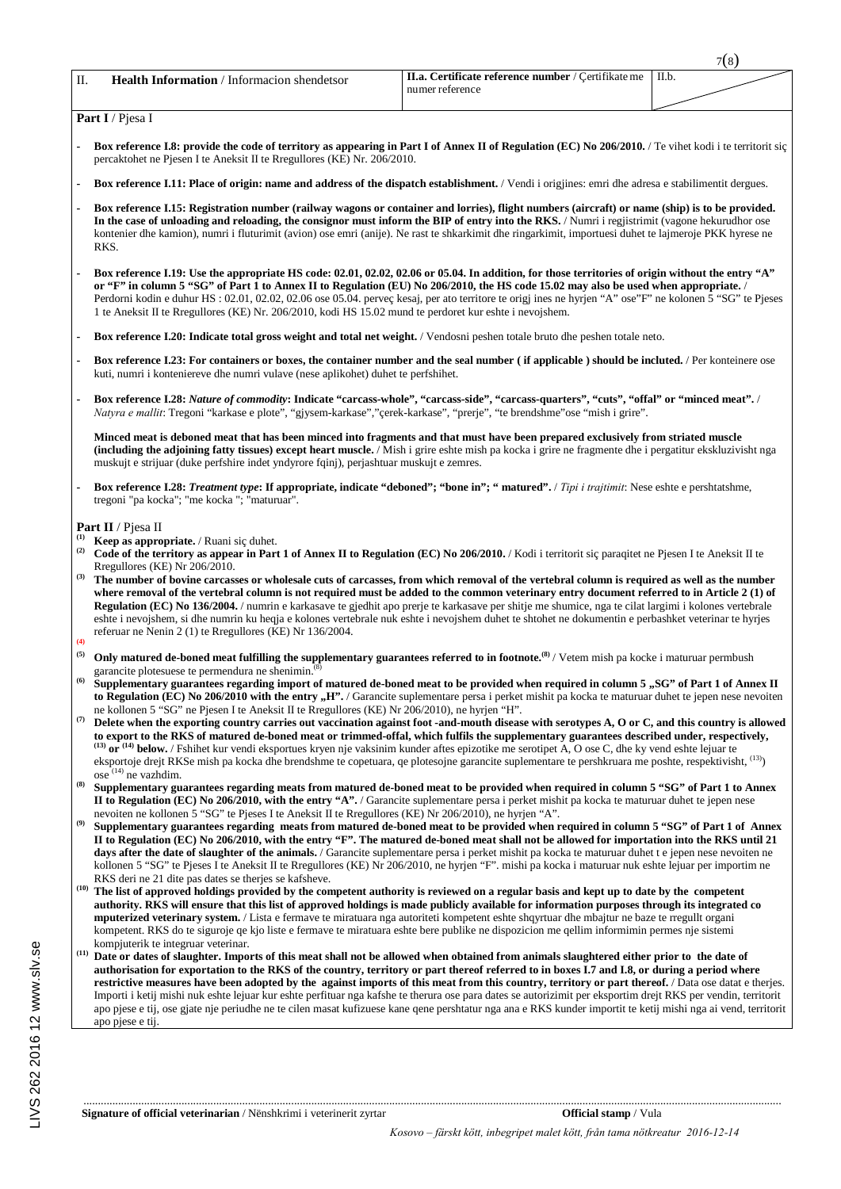| П. | <b>Health Information</b> / Informacion shendetsor | <b>II.a. Certificate reference number</b> / Certifikate me | ILb. |
|----|----------------------------------------------------|------------------------------------------------------------|------|
|    |                                                    | numer reference                                            |      |

 $\tau(\circ)$ 

**Part I** / Pjesa I

- **Box reference I.8: provide the code of territory as appearing in Part I of Annex II of Regulation (EC) No 206/2010.** / Te vihet kodi i te territorit siç percaktohet ne Pjesen I te Aneksit II te Rregullores (KE) Nr. 206/2010.
- **Box reference I.11: Place of origin: name and address of the dispatch establishment.** / Vendi i origjines: emri dhe adresa e stabilimentit dergues.
- **Box reference I.15: Registration number (railway wagons or container and lorries), flight numbers (aircraft) or name (ship) is to be provided. In the case of unloading and reloading, the consignor must inform the BIP of entry into the RKS.** / Numri i regjistrimit (vagone hekurudhor ose kontenier dhe kamion), numri i fluturimit (avion) ose emri (anije). Ne rast te shkarkimit dhe ringarkimit, importuesi duhet te lajmeroje PKK hyrese ne RKS.
- **Box reference I.19: Use the appropriate HS code: 02.01, 02.02, 02.06 or 05.04. In addition, for those territories of origin without the entry "A" or "F" in column 5 "SG" of Part 1 to Annex II to Regulation (EU) No 206/2010, the HS code 15.02 may also be used when appropriate.** / Perdorni kodin e duhur HS : 02.01, 02.02, 02.06 ose 05.04. perveç kesaj, per ato territore te origj ines ne hyrjen "A" ose"F" ne kolonen 5 "SG" te Pjeses 1 te Aneksit II te Rregullores (KE) Nr. 206/2010, kodi HS 15.02 mund te perdoret kur eshte i nevojshem.
- **Box reference I.20: Indicate total gross weight and total net weight.** / Vendosni peshen totale bruto dhe peshen totale neto.
- **Box reference I.23: For containers or boxes, the container number and the seal number ( if applicable ) should be incluted.** / Per konteinere ose kuti, numri i konteniereve dhe numri vulave (nese aplikohet) duhet te perfshihet.
- **Box reference I.28:** *Nature of commodity***: Indicate "carcass-whole", "carcass-side", "carcass-quarters", "cuts", "offal" or "minced meat".** / *Natyra e mallit*: Tregoni "karkase e plote", "gjysem-karkase","çerek-karkase", "prerje", "te brendshme"ose "mish i grire".

**Minced meat is deboned meat that has been minced into fragments and that must have been prepared exclusively from striated muscle (including the adjoining fatty tissues) except heart muscle.** / Mish i grire eshte mish pa kocka i grire ne fragmente dhe i pergatitur ekskluzivisht nga muskujt e strijuar (duke perfshire indet yndyrore fqinj), perjashtuar muskujt e zemres.

**- Box reference I.28:** *Treatment type***: If appropriate, indicate "deboned"; "bone in"; " matured".** / *Tipi i trajtimit*: Nese eshte e pershtatshme, tregoni "pa kocka"; "me kocka "; "maturuar".

- **Part II** / Pjesa II **(1) Keep as appropriate.** / Ruani sic duhet.
- **(2) Code of the territory as appear in Part 1 of Annex II to Regulation (EC) No 206/2010.** / Kodi i territorit siç paraqitet ne Pjesen I te Aneksit II te Rregullores (KE) Nr 206/2010.
- **(3) The number of bovine carcasses or wholesale cuts of carcasses, from which removal of the vertebral column is required as well as the number where removal of the vertebral column is not required must be added to the common veterinary entry document referred to in Article 2 (1) of Regulation (EC) No 136/2004.** / numrin e karkasave te gjedhit apo prerje te karkasave per shitje me shumice, nga te cilat largimi i kolones vertebrale eshte i nevojshem, si dhe numrin ku heqja e kolones vertebrale nuk eshte i nevojshem duhet te shtohet ne dokumentin e perbashket veterinar te hyrjes referuar ne Nenin 2 (1) te Rregullores (KE) Nr 136/2004.
- **(4)**
- **(5) Only matured de-boned meat fulfilling the supplementary guarantees referred to in footnote. (8)** / Vetem mish pa kocke i maturuar permbush garancite plotesuese te permendura ne shenimin.<sup>(8)</sup>
- Supplementary guarantees regarding import of matured de-boned meat to be provided when required in column 5 "SG" of Part 1 of Annex II to Regulation (EC) No 206/2010 with the entry "H". / Garancite suplementare persa i perket mishit pa kocka te maturuar duhet te jepen nese nevoiten ne kollonen 5 "SG" ne Pjesen I te Aneksit II te Rregullores (KE) Nr 206/2010), ne hyrjen "H".
- **(7) Delete when the exporting country carries out vaccination against foot -and-mouth disease with serotypes A, O or C, and this country is allowed**  to export to the RKS of matured de-boned meat or trimmed-offal, which fulfils the supplementary guarantees described under, respectively, (13) or (14) below. / Fshihet kur vendi eksportues kryen nje vaksinim kunder aftes e eksportoje drejt RKSe mish pa kocka dhe brendshme te copetuara, qe plotesojne garancite suplementare te pershkruara me poshte, respektivisht, (13))  $ose^{(14)}$  ne vazhdim.
- **(8) Supplementary guarantees regarding meats from matured de-boned meat to be provided when required in column 5 "SG" of Part 1 to Annex II to Regulation (EC) No 206/2010, with the entry "A".** / Garancite suplementare persa i perket mishit pa kocka te maturuar duhet te jepen nese nevoiten ne kollonen 5 "SG" te Pjeses I te Aneksit II te Rregullores (KE) Nr 206/2010), ne hyrjen "A".
- **(9) Supplementary guarantees regarding meats from matured de-boned meat to be provided when required in column 5 "SG" of Part 1 of Annex II to Regulation (EC) No 206/2010, with the entry "F". The matured de-boned meat shall not be allowed for importation into the RKS until 21**  days after the date of slaughter of the animals. / Garancite suplementare persa i perket mishit pa kocka te maturuar duhet t e jepen nese nevoiten ne kollonen 5 "SG" te Pjeses I te Aneksit II te Rregullores (KE) Nr 206/2010, ne hyrjen "F". mishi pa kocka i maturuar nuk eshte lejuar per importim ne RKS deri ne 21 dite pas dates se therjes se kafsheve.
- **(10) The list of approved holdings provided by the competent authority is reviewed on a regular basis and kept up to date by the competent authority. RKS will ensure that this list of approved holdings is made publicly available for information purposes through its integrated co mputerized veterinary system.** / Lista e fermave te miratuara nga autoriteti kompetent eshte shqyrtuar dhe mbajtur ne baze te rregullt organi kompetent. RKS do te siguroje qe kjo liste e fermave te miratuara eshte bere publike ne dispozicion me qellim informimin permes nje sistemi kompjuterik te integruar veterinar.
- **(11) Date or dates of slaughter. Imports of this meat shall not be allowed when obtained from animals slaughtered either prior to the date of authorisation for exportation to the RKS of the country, territory or part thereof referred to in boxes I.7 and I.8, or during a period where restrictive measures have been adopted by the against imports of this meat from this country, territory or part thereof.** / Data ose datat e therjes. Importi i ketij mishi nuk eshte lejuar kur eshte perfituar nga kafshe te therura ose para dates se autorizimit per eksportim drejt RKS per vendin, territorit apo pjese e tij, ose gjate nje periudhe ne te cilen masat kufizuese kane qene pershtatur nga ana e RKS kunder importit te ketij mishi nga ai vend, territorit apo pjese e tij.